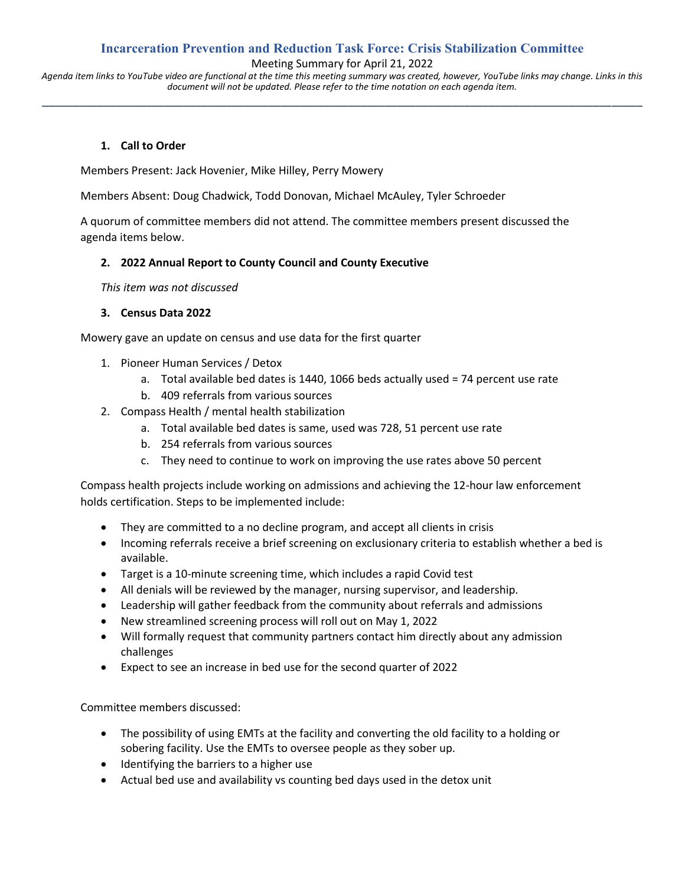## **Incarceration Prevention and Reduction Task Force: Crisis Stabilization Committee**

Meeting Summary for April 21, 2022

*Agenda item links to YouTube video are functional at the time this meeting summary was created, however, YouTube links may change. Links in this document will not be updated. Please refer to the time notation on each agenda item.* **\_\_\_\_\_\_\_\_\_\_\_\_\_\_\_\_\_\_\_\_\_\_\_\_\_\_\_\_\_\_\_\_\_\_\_\_\_\_\_\_\_\_\_\_\_\_\_\_\_\_\_\_\_\_\_\_\_\_\_\_\_\_\_\_\_\_\_\_\_\_\_\_\_\_\_\_\_\_\_\_\_\_\_\_\_\_\_\_\_\_\_\_\_\_\_\_\_\_**

### **1. Call to Order**

Members Present: Jack Hovenier, Mike Hilley, Perry Mowery

Members Absent: Doug Chadwick, Todd Donovan, Michael McAuley, Tyler Schroeder

A quorum of committee members did not attend. The committee members present discussed the agenda items below.

### **2. 2022 Annual Report to County Council and County Executive**

*This item was not discussed*

### **3. Census Data 2022**

Mowery gave an update on census and use data for the first quarter

- 1. Pioneer Human Services / Detox
	- a. Total available bed dates is 1440, 1066 beds actually used = 74 percent use rate
	- b. 409 referrals from various sources
- 2. Compass Health / mental health stabilization
	- a. Total available bed dates is same, used was 728, 51 percent use rate
	- b. 254 referrals from various sources
	- c. They need to continue to work on improving the use rates above 50 percent

Compass health projects include working on admissions and achieving the 12-hour law enforcement holds certification. Steps to be implemented include:

- They are committed to a no decline program, and accept all clients in crisis
- Incoming referrals receive a brief screening on exclusionary criteria to establish whether a bed is available.
- Target is a 10-minute screening time, which includes a rapid Covid test
- All denials will be reviewed by the manager, nursing supervisor, and leadership.
- Leadership will gather feedback from the community about referrals and admissions
- New streamlined screening process will roll out on May 1, 2022
- Will formally request that community partners contact him directly about any admission challenges
- Expect to see an increase in bed use for the second quarter of 2022

Committee members discussed:

- The possibility of using EMTs at the facility and converting the old facility to a holding or sobering facility. Use the EMTs to oversee people as they sober up.
- Identifying the barriers to a higher use
- Actual bed use and availability vs counting bed days used in the detox unit